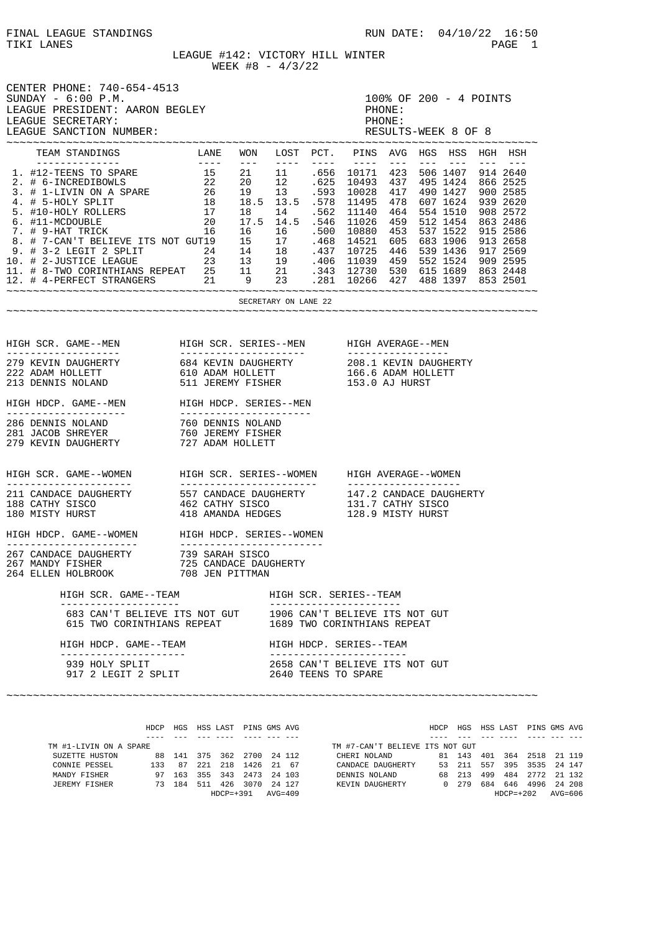$T = PAGE$  1

LEAGUE #142: VICTORY HILL WINTER  $WEEK \#8 - 4/3/22$ 

| CENTER PHONE: 740-654-4513<br>$SUNDAY - 6:00 P.M.$<br>LEAGUE PRESIDENT: AARON BEGLEY<br>LEAGUE SECRETARY:<br>LEAGUE SANCTION NUMBER:            |                                                                                                                                                                                  |  |                      |  | PHONE:<br>PHONE:<br>RESULTS-WEEK 8 OF 8                                                                                                                                                                             | 100% OF 200 - 4 POINTS |  |  |  |  |                                |  |  |
|-------------------------------------------------------------------------------------------------------------------------------------------------|----------------------------------------------------------------------------------------------------------------------------------------------------------------------------------|--|----------------------|--|---------------------------------------------------------------------------------------------------------------------------------------------------------------------------------------------------------------------|------------------------|--|--|--|--|--------------------------------|--|--|
|                                                                                                                                                 |                                                                                                                                                                                  |  |                      |  |                                                                                                                                                                                                                     |                        |  |  |  |  |                                |  |  |
|                                                                                                                                                 |                                                                                                                                                                                  |  |                      |  |                                                                                                                                                                                                                     |                        |  |  |  |  |                                |  |  |
|                                                                                                                                                 |                                                                                                                                                                                  |  | SECRETARY ON LANE 22 |  |                                                                                                                                                                                                                     |                        |  |  |  |  |                                |  |  |
|                                                                                                                                                 |                                                                                                                                                                                  |  |                      |  |                                                                                                                                                                                                                     |                        |  |  |  |  |                                |  |  |
|                                                                                                                                                 |                                                                                                                                                                                  |  |                      |  |                                                                                                                                                                                                                     |                        |  |  |  |  |                                |  |  |
|                                                                                                                                                 |                                                                                                                                                                                  |  |                      |  |                                                                                                                                                                                                                     |                        |  |  |  |  |                                |  |  |
|                                                                                                                                                 |                                                                                                                                                                                  |  |                      |  |                                                                                                                                                                                                                     |                        |  |  |  |  |                                |  |  |
|                                                                                                                                                 |                                                                                                                                                                                  |  |                      |  |                                                                                                                                                                                                                     |                        |  |  |  |  |                                |  |  |
|                                                                                                                                                 | 11 CANDACE DAUGHERTY 1557 CANDACE DAUGHERTY 147.2 CANDACE DAUGHERTY<br>188 CATHY SISCO 1462 CATHY SISCO 131.7 CATHY SISCO<br>180 MISTY HURST 188 AMANDA HEDGES 128.9 MISTY HURST |  |                      |  |                                                                                                                                                                                                                     |                        |  |  |  |  |                                |  |  |
|                                                                                                                                                 |                                                                                                                                                                                  |  |                      |  |                                                                                                                                                                                                                     |                        |  |  |  |  |                                |  |  |
|                                                                                                                                                 |                                                                                                                                                                                  |  |                      |  |                                                                                                                                                                                                                     |                        |  |  |  |  |                                |  |  |
| HIGH SCR. GAME--TEAM<br>_____________________                                                                                                   |                                                                                                                                                                                  |  |                      |  | HIGH SCR. SERIES--TEAM<br>----------------------                                                                                                                                                                    |                        |  |  |  |  |                                |  |  |
| 683 CAN'T BELIEVE ITS NOT GUT<br>615 TWO CORINTHIANS REPEAT                                                                                     |                                                                                                                                                                                  |  |                      |  | 1906 CAN'T BELIEVE ITS NOT GUT<br>1689 TWO CORINTHIANS REPEAT                                                                                                                                                       |                        |  |  |  |  |                                |  |  |
| HIGH HDCP. GAME--TEAM<br>---------------------                                                                                                  |                                                                                                                                                                                  |  |                      |  | HIGH HDCP. SERIES--TEAM<br>---------------------                                                                                                                                                                    |                        |  |  |  |  |                                |  |  |
| 939 HOLY SPLIT<br>917 2 LEGIT 2 SPLIT                                                                                                           |                                                                                                                                                                                  |  |                      |  | 2658 CAN'T BELIEVE ITS NOT GUT<br>2640 TEENS TO SPARE                                                                                                                                                               |                        |  |  |  |  |                                |  |  |
| ----                                                                                                                                            | HDCP HGS HSS LAST PINS GMS AVG<br>___ ___ ___ ___ ____ ___                                                                                                                       |  |                      |  |                                                                                                                                                                                                                     |                        |  |  |  |  | HDCP HGS HSS LAST PINS GMS AVG |  |  |
| TM #1-LIVIN ON A SPARE<br>SUZETTE HUSTON 88 141 375 362 2700 24 112<br>CONNIE PESSEL 133 87 221 218 1426 21 67<br>MANDY FISHER<br>JEREMY FISHER | 97 163 355 343 2473 24 103<br>73 184 511 426 3070 24 127                                                                                                                         |  |                      |  | TM #7-CAN'T BELIEVE ITS NOT GUT<br>CHERI NOLAND 81 143 401 364 2518 21 119<br>CANDACE DAUGHERTY 53 211 557 395 3535 24 147<br>DENNIS NOLAND 68 213 499 484 2772 21 132<br>KEVIN DAUGHERTY 0 279 684 646 4996 24 208 |                        |  |  |  |  |                                |  |  |

HDCP=+391 AVG=409 HDCP=+202 AVG=606